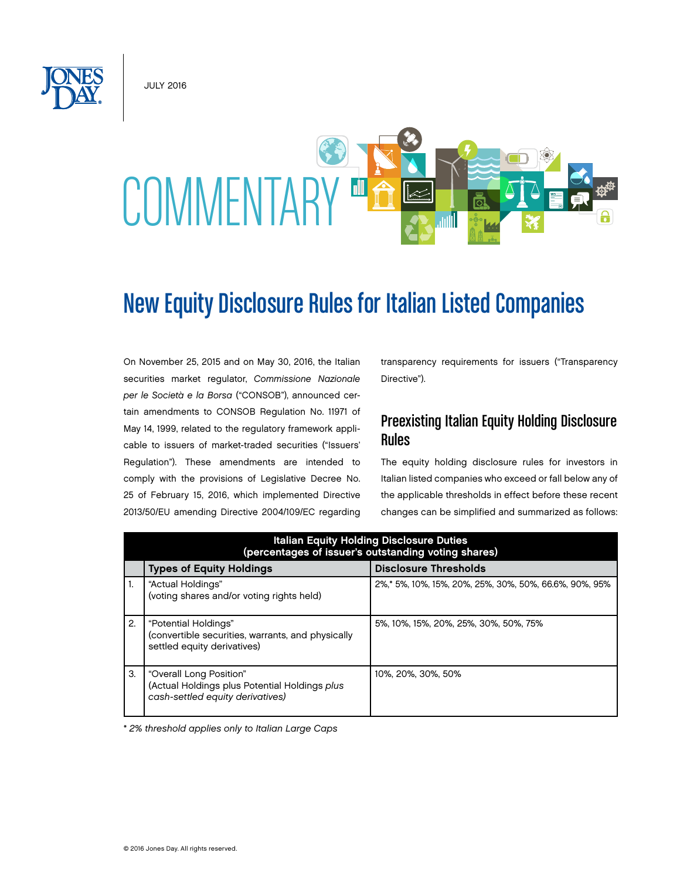JULY 2016



# New Equity Disclosure Rules for Italian Listed Companies

On November 25, 2015 and on May 30, 2016, the Italian securities market regulator, *Commissione Nazionale per le Società e la Borsa* ("CONSOB"), announced certain amendments to CONSOB Regulation No. 11971 of May 14, 1999, related to the regulatory framework applicable to issuers of market-traded securities ("Issuers' Regulation"). These amendments are intended to comply with the provisions of Legislative Decree No. 25 of February 15, 2016, which implemented Directive 2013/50/EU amending Directive 2004/109/EC regarding

transparency requirements for issuers ("Transparency Directive").

### Preexisting Italian Equity Holding Disclosure Rules

The equity holding disclosure rules for investors in Italian listed companies who exceed or fall below any of the applicable thresholds in effect before these recent changes can be simplified and summarized as follows:

|    | <b>Italian Equity Holding Disclosure Duties</b><br>(percentages of issuer's outstanding voting shares)       |                                                        |  |
|----|--------------------------------------------------------------------------------------------------------------|--------------------------------------------------------|--|
|    | <b>Types of Equity Holdings</b>                                                                              | <b>Disclosure Thresholds</b>                           |  |
| 1. | "Actual Holdings"<br>(voting shares and/or voting rights held)                                               | 2%,* 5%, 10%, 15%, 20%, 25%, 30%, 50%, 66.6%, 90%, 95% |  |
| 2. | "Potential Holdings"<br>(convertible securities, warrants, and physically<br>settled equity derivatives)     | 5%, 10%, 15%, 20%, 25%, 30%, 50%, 75%                  |  |
| 3. | "Overall Long Position"<br>(Actual Holdings plus Potential Holdings plus<br>cash-settled equity derivatives) | 10%, 20%, 30%, 50%                                     |  |

\* *2% threshold applies only to Italian Large Caps*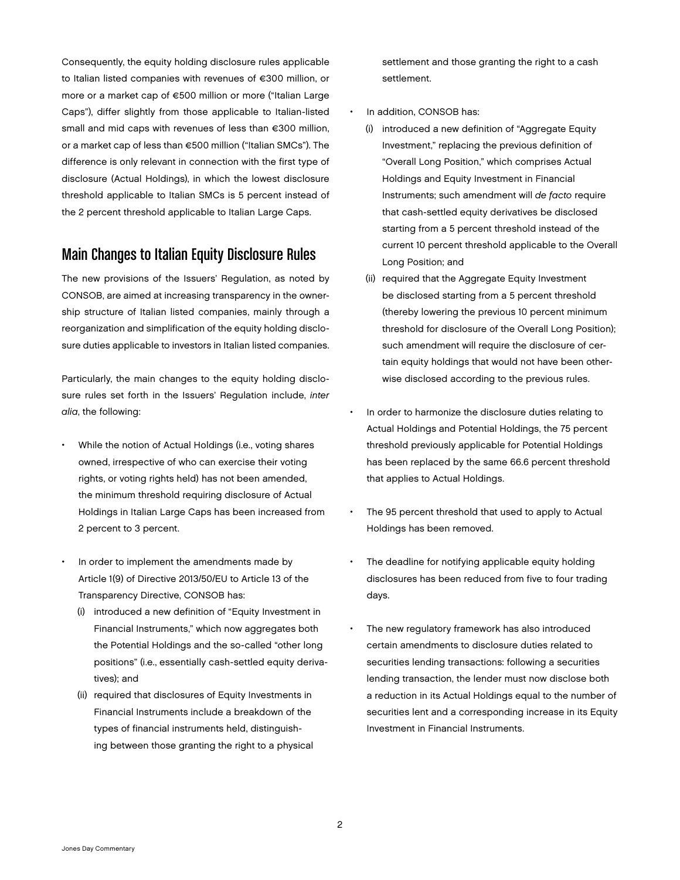Consequently, the equity holding disclosure rules applicable to Italian listed companies with revenues of €300 million, or more or a market cap of €500 million or more ("Italian Large Caps"), differ slightly from those applicable to Italian-listed small and mid caps with revenues of less than €300 million, or a market cap of less than €500 million ("Italian SMCs"). The difference is only relevant in connection with the first type of disclosure (Actual Holdings), in which the lowest disclosure threshold applicable to Italian SMCs is 5 percent instead of the 2 percent threshold applicable to Italian Large Caps.

### Main Changes to Italian Equity Disclosure Rules

The new provisions of the Issuers' Regulation, as noted by CONSOB, are aimed at increasing transparency in the ownership structure of Italian listed companies, mainly through a reorganization and simplification of the equity holding disclosure duties applicable to investors in Italian listed companies.

Particularly, the main changes to the equity holding disclosure rules set forth in the Issuers' Regulation include, *inter alia*, the following:

- While the notion of Actual Holdings (i.e., voting shares owned, irrespective of who can exercise their voting rights, or voting rights held) has not been amended, the minimum threshold requiring disclosure of Actual Holdings in Italian Large Caps has been increased from 2 percent to 3 percent.
- In order to implement the amendments made by Article 1(9) of Directive 2013/50/EU to Article 13 of the Transparency Directive, CONSOB has:
	- (i) introduced a new definition of "Equity Investment in Financial Instruments," which now aggregates both the Potential Holdings and the so-called "other long positions" (i.e., essentially cash-settled equity derivatives); and
	- (ii) required that disclosures of Equity Investments in Financial Instruments include a breakdown of the types of financial instruments held, distinguishing between those granting the right to a physical

settlement and those granting the right to a cash settlement.

- In addition, CONSOB has:
	- (i) introduced a new definition of "Aggregate Equity Investment," replacing the previous definition of "Overall Long Position," which comprises Actual Holdings and Equity Investment in Financial Instruments; such amendment will *de facto* require that cash-settled equity derivatives be disclosed starting from a 5 percent threshold instead of the current 10 percent threshold applicable to the Overall Long Position; and
	- (ii) required that the Aggregate Equity Investment be disclosed starting from a 5 percent threshold (thereby lowering the previous 10 percent minimum threshold for disclosure of the Overall Long Position); such amendment will require the disclosure of certain equity holdings that would not have been otherwise disclosed according to the previous rules.
- In order to harmonize the disclosure duties relating to Actual Holdings and Potential Holdings, the 75 percent threshold previously applicable for Potential Holdings has been replaced by the same 66.6 percent threshold that applies to Actual Holdings.
- The 95 percent threshold that used to apply to Actual Holdings has been removed.
- The deadline for notifying applicable equity holding disclosures has been reduced from five to four trading days.
- The new regulatory framework has also introduced certain amendments to disclosure duties related to securities lending transactions: following a securities lending transaction, the lender must now disclose both a reduction in its Actual Holdings equal to the number of securities lent and a corresponding increase in its Equity Investment in Financial Instruments.